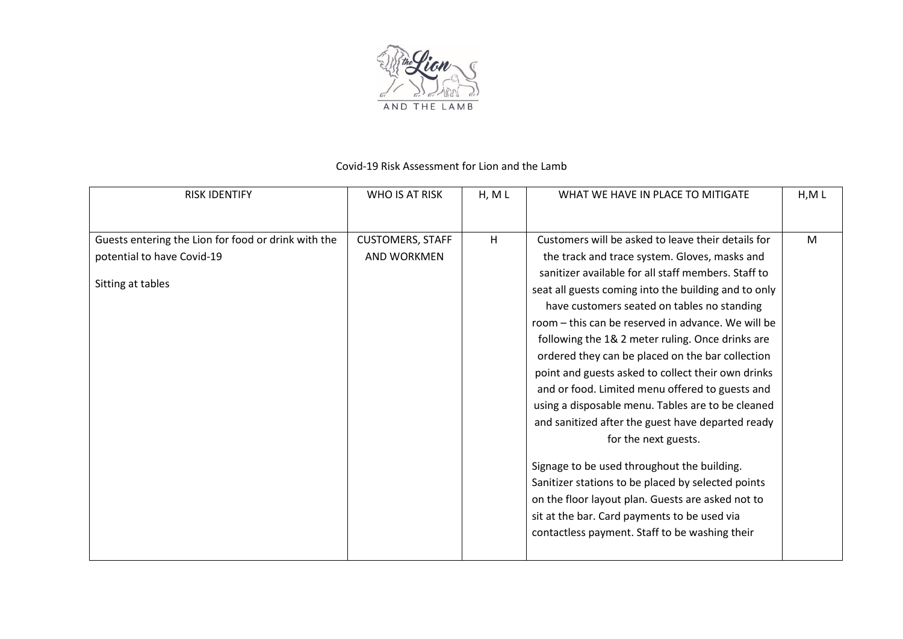

## Covid-19 Risk Assessment for Lion and the Lamb

| <b>WHO IS AT RISK</b>   | H, M L | WHAT WE HAVE IN PLACE TO MITIGATE                    | H, M L                                      |
|-------------------------|--------|------------------------------------------------------|---------------------------------------------|
|                         |        |                                                      |                                             |
| <b>CUSTOMERS, STAFF</b> | H      | Customers will be asked to leave their details for   | M                                           |
| <b>AND WORKMEN</b>      |        | the track and trace system. Gloves, masks and        |                                             |
|                         |        | sanitizer available for all staff members. Staff to  |                                             |
|                         |        | seat all guests coming into the building and to only |                                             |
|                         |        | have customers seated on tables no standing          |                                             |
|                         |        | room – this can be reserved in advance. We will be   |                                             |
|                         |        | following the 1& 2 meter ruling. Once drinks are     |                                             |
|                         |        | ordered they can be placed on the bar collection     |                                             |
|                         |        | point and guests asked to collect their own drinks   |                                             |
|                         |        | and or food. Limited menu offered to guests and      |                                             |
|                         |        | using a disposable menu. Tables are to be cleaned    |                                             |
|                         |        | and sanitized after the guest have departed ready    |                                             |
|                         |        | for the next guests.                                 |                                             |
|                         |        |                                                      |                                             |
|                         |        | Sanitizer stations to be placed by selected points   |                                             |
|                         |        | on the floor layout plan. Guests are asked not to    |                                             |
|                         |        | sit at the bar. Card payments to be used via         |                                             |
|                         |        | contactless payment. Staff to be washing their       |                                             |
|                         |        |                                                      |                                             |
|                         |        |                                                      | Signage to be used throughout the building. |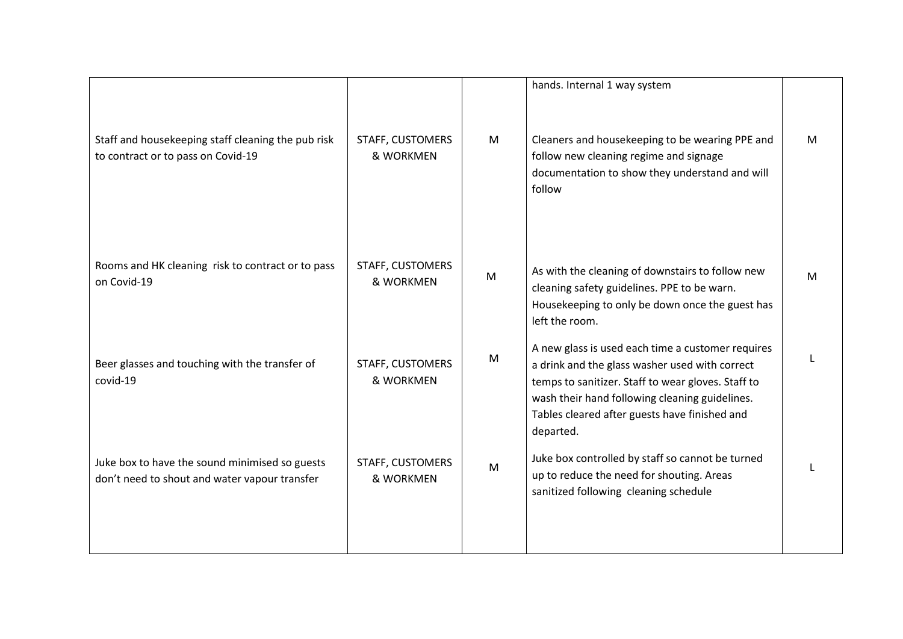|                                                                                                 |                               |   | hands. Internal 1 way system                                                                                                                                                                                                                                              |   |
|-------------------------------------------------------------------------------------------------|-------------------------------|---|---------------------------------------------------------------------------------------------------------------------------------------------------------------------------------------------------------------------------------------------------------------------------|---|
| Staff and housekeeping staff cleaning the pub risk<br>to contract or to pass on Covid-19        | STAFF, CUSTOMERS<br>& WORKMEN | M | Cleaners and housekeeping to be wearing PPE and<br>follow new cleaning regime and signage<br>documentation to show they understand and will<br>follow                                                                                                                     | M |
| Rooms and HK cleaning risk to contract or to pass<br>on Covid-19                                | STAFF, CUSTOMERS<br>& WORKMEN | M | As with the cleaning of downstairs to follow new<br>cleaning safety guidelines. PPE to be warn.<br>Housekeeping to only be down once the guest has<br>left the room.                                                                                                      | M |
| Beer glasses and touching with the transfer of<br>covid-19                                      | STAFF, CUSTOMERS<br>& WORKMEN | M | A new glass is used each time a customer requires<br>a drink and the glass washer used with correct<br>temps to sanitizer. Staff to wear gloves. Staff to<br>wash their hand following cleaning guidelines.<br>Tables cleared after guests have finished and<br>departed. |   |
| Juke box to have the sound minimised so guests<br>don't need to shout and water vapour transfer | STAFF, CUSTOMERS<br>& WORKMEN | M | Juke box controlled by staff so cannot be turned<br>up to reduce the need for shouting. Areas<br>sanitized following cleaning schedule                                                                                                                                    |   |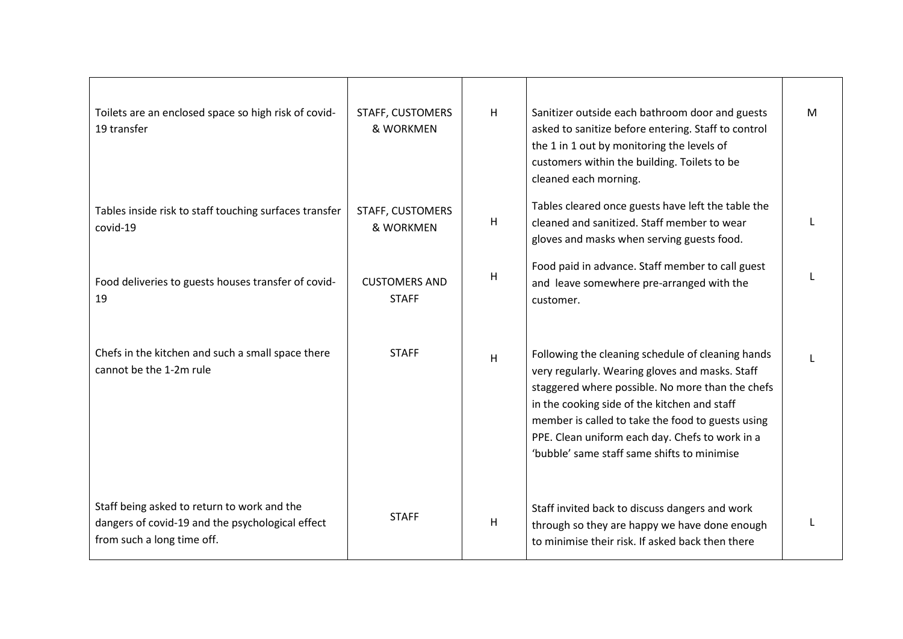| Toilets are an enclosed space so high risk of covid-<br>19 transfer                                                           | STAFF, CUSTOMERS<br>& WORKMEN        | H | Sanitizer outside each bathroom door and guests<br>asked to sanitize before entering. Staff to control<br>the 1 in 1 out by monitoring the levels of<br>customers within the building. Toilets to be<br>cleaned each morning.                                                                                                                                   | M |
|-------------------------------------------------------------------------------------------------------------------------------|--------------------------------------|---|-----------------------------------------------------------------------------------------------------------------------------------------------------------------------------------------------------------------------------------------------------------------------------------------------------------------------------------------------------------------|---|
| Tables inside risk to staff touching surfaces transfer<br>covid-19                                                            | STAFF, CUSTOMERS<br>& WORKMEN        | H | Tables cleared once guests have left the table the<br>cleaned and sanitized. Staff member to wear<br>gloves and masks when serving guests food.                                                                                                                                                                                                                 | L |
| Food deliveries to guests houses transfer of covid-<br>19                                                                     | <b>CUSTOMERS AND</b><br><b>STAFF</b> | H | Food paid in advance. Staff member to call guest<br>and leave somewhere pre-arranged with the<br>customer.                                                                                                                                                                                                                                                      |   |
| Chefs in the kitchen and such a small space there<br>cannot be the 1-2m rule                                                  | <b>STAFF</b>                         | H | Following the cleaning schedule of cleaning hands<br>very regularly. Wearing gloves and masks. Staff<br>staggered where possible. No more than the chefs<br>in the cooking side of the kitchen and staff<br>member is called to take the food to guests using<br>PPE. Clean uniform each day. Chefs to work in a<br>'bubble' same staff same shifts to minimise |   |
| Staff being asked to return to work and the<br>dangers of covid-19 and the psychological effect<br>from such a long time off. | <b>STAFF</b>                         | H | Staff invited back to discuss dangers and work<br>through so they are happy we have done enough<br>to minimise their risk. If asked back then there                                                                                                                                                                                                             |   |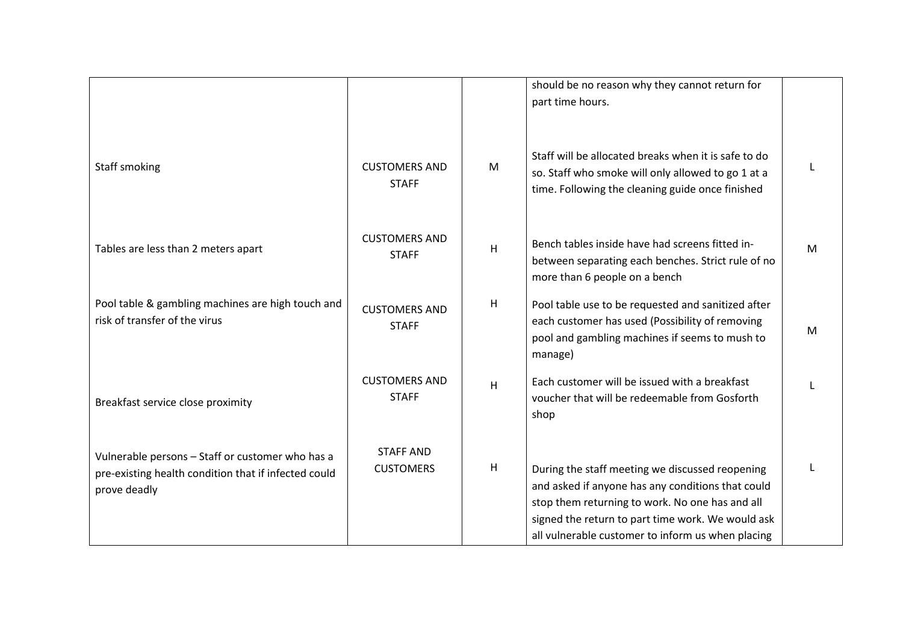|                                                                                                                          |                                      |                | should be no reason why they cannot return for<br>part time hours.                                                                                                                                                                                                |   |
|--------------------------------------------------------------------------------------------------------------------------|--------------------------------------|----------------|-------------------------------------------------------------------------------------------------------------------------------------------------------------------------------------------------------------------------------------------------------------------|---|
| Staff smoking                                                                                                            | <b>CUSTOMERS AND</b><br><b>STAFF</b> | M              | Staff will be allocated breaks when it is safe to do<br>so. Staff who smoke will only allowed to go 1 at a<br>time. Following the cleaning guide once finished                                                                                                    |   |
| Tables are less than 2 meters apart                                                                                      | <b>CUSTOMERS AND</b><br><b>STAFF</b> | $\overline{H}$ | Bench tables inside have had screens fitted in-<br>between separating each benches. Strict rule of no<br>more than 6 people on a bench                                                                                                                            | М |
| Pool table & gambling machines are high touch and<br>risk of transfer of the virus                                       | <b>CUSTOMERS AND</b><br><b>STAFF</b> | н              | Pool table use to be requested and sanitized after<br>each customer has used (Possibility of removing<br>pool and gambling machines if seems to mush to<br>manage)                                                                                                | М |
| Breakfast service close proximity                                                                                        | <b>CUSTOMERS AND</b><br><b>STAFF</b> | $\mathsf{H}$   | Each customer will be issued with a breakfast<br>voucher that will be redeemable from Gosforth<br>shop                                                                                                                                                            |   |
| Vulnerable persons - Staff or customer who has a<br>pre-existing health condition that if infected could<br>prove deadly | <b>STAFF AND</b><br><b>CUSTOMERS</b> | н              | During the staff meeting we discussed reopening<br>and asked if anyone has any conditions that could<br>stop them returning to work. No one has and all<br>signed the return to part time work. We would ask<br>all vulnerable customer to inform us when placing |   |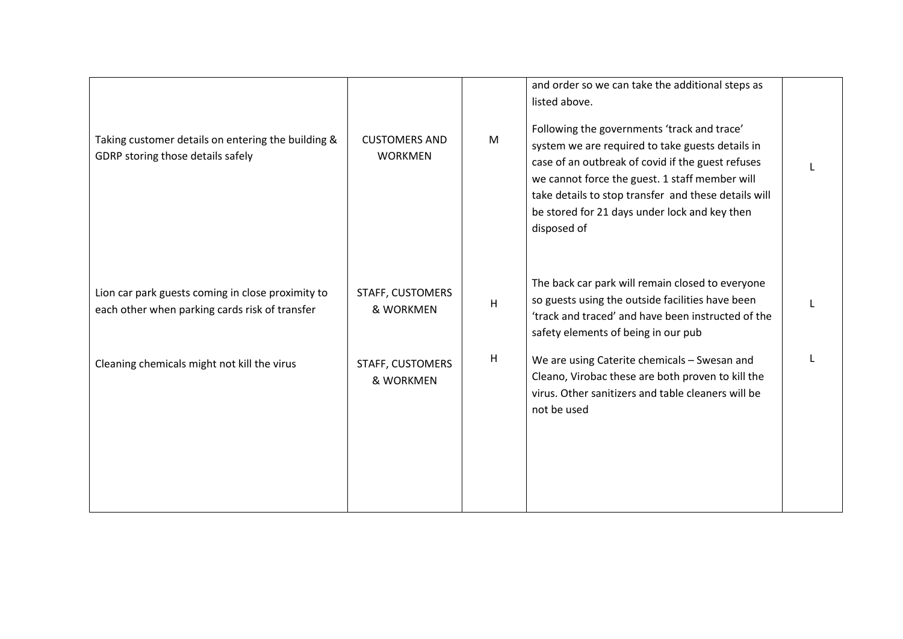| Taking customer details on entering the building &<br>GDRP storing those details safely             | <b>CUSTOMERS AND</b><br><b>WORKMEN</b> | M | and order so we can take the additional steps as<br>listed above.<br>Following the governments 'track and trace'<br>system we are required to take guests details in<br>case of an outbreak of covid if the guest refuses<br>we cannot force the guest. 1 staff member will<br>take details to stop transfer and these details will<br>be stored for 21 days under lock and key then<br>disposed of |  |
|-----------------------------------------------------------------------------------------------------|----------------------------------------|---|-----------------------------------------------------------------------------------------------------------------------------------------------------------------------------------------------------------------------------------------------------------------------------------------------------------------------------------------------------------------------------------------------------|--|
| Lion car park guests coming in close proximity to<br>each other when parking cards risk of transfer | STAFF, CUSTOMERS<br>& WORKMEN          | H | The back car park will remain closed to everyone<br>so guests using the outside facilities have been<br>'track and traced' and have been instructed of the<br>safety elements of being in our pub                                                                                                                                                                                                   |  |
| Cleaning chemicals might not kill the virus                                                         | STAFF, CUSTOMERS<br>& WORKMEN          | H | We are using Caterite chemicals - Swesan and<br>Cleano, Virobac these are both proven to kill the<br>virus. Other sanitizers and table cleaners will be<br>not be used                                                                                                                                                                                                                              |  |